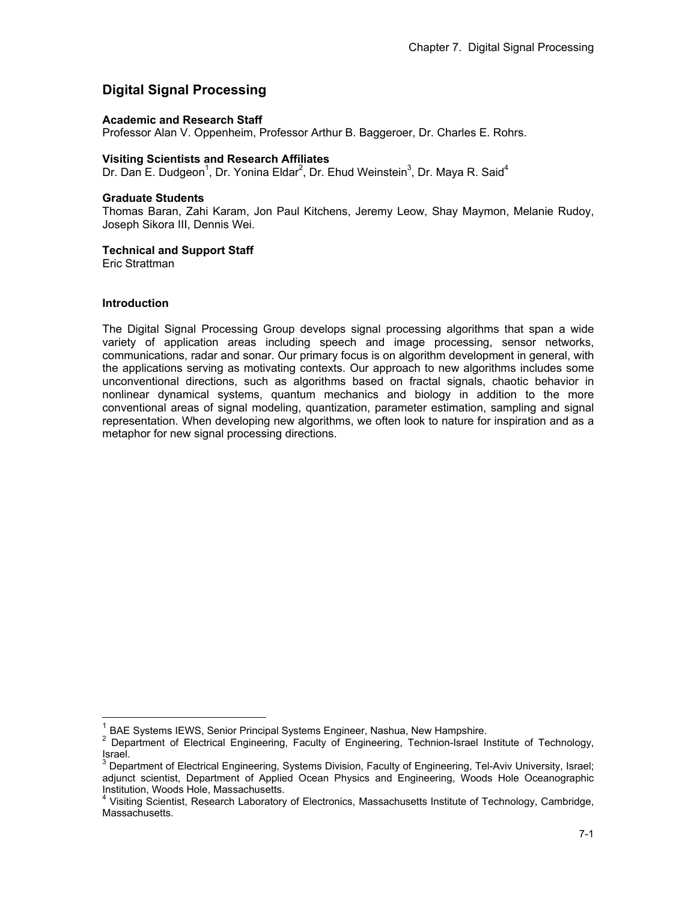# **Digital Signal Processing**

### **Academic and Research Staff**

Professor Alan V. Oppenheim, Professor Arthur B. Baggeroer, Dr. Charles E. Rohrs.

### **Visiting Scientists and Research Affiliates**

Dr. Dan E. Dudgeon<sup>1</sup>, Dr. Yonina Eldar<sup>2</sup>, Dr. Ehud Weinstein<sup>3</sup>, Dr. Maya R. Said<sup>4</sup>

#### **Graduate Students**

Thomas Baran, Zahi Karam, Jon Paul Kitchens, Jeremy Leow, Shay Maymon, Melanie Rudoy, Joseph Sikora III, Dennis Wei.

### **Technical and Support Staff**

Eric Strattman

### **Introduction**

 $\overline{a}$ 

The Digital Signal Processing Group develops signal processing algorithms that span a wide variety of application areas including speech and image processing, sensor networks, communications, radar and sonar. Our primary focus is on algorithm development in general, with the applications serving as motivating contexts. Our approach to new algorithms includes some unconventional directions, such as algorithms based on fractal signals, chaotic behavior in nonlinear dynamical systems, quantum mechanics and biology in addition to the more conventional areas of signal modeling, quantization, parameter estimation, sampling and signal representation. When developing new algorithms, we often look to nature for inspiration and as a metaphor for new signal processing directions.

BAE Systems IEWS, Senior Principal Systems Engineer, Nashua, New Hampshire.

<sup>&</sup>lt;sup>2</sup> Department of Electrical Engineering, Faculty of Engineering, Technion-Israel Institute of Technology, Israel.

<sup>&</sup>lt;sup>3</sup> Department of Electrical Engineering, Systems Division, Faculty of Engineering, Tel-Aviv University, Israel; adjunct scientist, Department of Applied Ocean Physics and Engineering, Woods Hole Oceanographic Institution, Woods Hole, Massachusetts.

<sup>&</sup>lt;sup>4</sup> Visiting Scientist, Research Laboratory of Electronics, Massachusetts Institute of Technology, Cambridge, Massachusetts.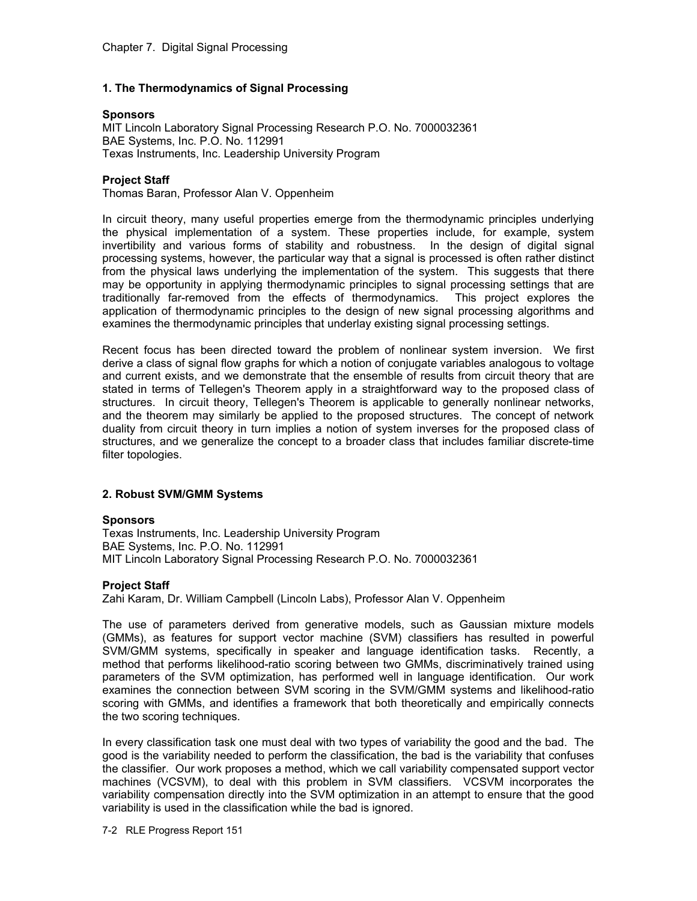# **1. The Thermodynamics of Signal Processing**

## **Sponsors**

MIT Lincoln Laboratory Signal Processing Research P.O. No. 7000032361 BAE Systems, Inc. P.O. No. 112991 Texas Instruments, Inc. Leadership University Program

# **Project Staff**

Thomas Baran, Professor Alan V. Oppenheim

In circuit theory, many useful properties emerge from the thermodynamic principles underlying the physical implementation of a system. These properties include, for example, system invertibility and various forms of stability and robustness. In the design of digital signal processing systems, however, the particular way that a signal is processed is often rather distinct from the physical laws underlying the implementation of the system. This suggests that there may be opportunity in applying thermodynamic principles to signal processing settings that are traditionally far-removed from the effects of thermodynamics. This project explores the application of thermodynamic principles to the design of new signal processing algorithms and examines the thermodynamic principles that underlay existing signal processing settings.

Recent focus has been directed toward the problem of nonlinear system inversion. We first derive a class of signal flow graphs for which a notion of conjugate variables analogous to voltage and current exists, and we demonstrate that the ensemble of results from circuit theory that are stated in terms of Tellegen's Theorem apply in a straightforward way to the proposed class of structures. In circuit theory, Tellegen's Theorem is applicable to generally nonlinear networks, and the theorem may similarly be applied to the proposed structures. The concept of network duality from circuit theory in turn implies a notion of system inverses for the proposed class of structures, and we generalize the concept to a broader class that includes familiar discrete-time filter topologies.

# **2. Robust SVM/GMM Systems**

### **Sponsors**

Texas Instruments, Inc. Leadership University Program BAE Systems, Inc. P.O. No. 112991 MIT Lincoln Laboratory Signal Processing Research P.O. No. 7000032361

### **Project Staff**

Zahi Karam, Dr. William Campbell (Lincoln Labs), Professor Alan V. Oppenheim

The use of parameters derived from generative models, such as Gaussian mixture models (GMMs), as features for support vector machine (SVM) classifiers has resulted in powerful SVM/GMM systems, specifically in speaker and language identification tasks. Recently, a method that performs likelihood-ratio scoring between two GMMs, discriminatively trained using parameters of the SVM optimization, has performed well in language identification. Our work examines the connection between SVM scoring in the SVM/GMM systems and likelihood-ratio scoring with GMMs, and identifies a framework that both theoretically and empirically connects the two scoring techniques.

In every classification task one must deal with two types of variability the good and the bad. The good is the variability needed to perform the classification, the bad is the variability that confuses the classifier. Our work proposes a method, which we call variability compensated support vector machines (VCSVM), to deal with this problem in SVM classifiers. VCSVM incorporates the variability compensation directly into the SVM optimization in an attempt to ensure that the good variability is used in the classification while the bad is ignored.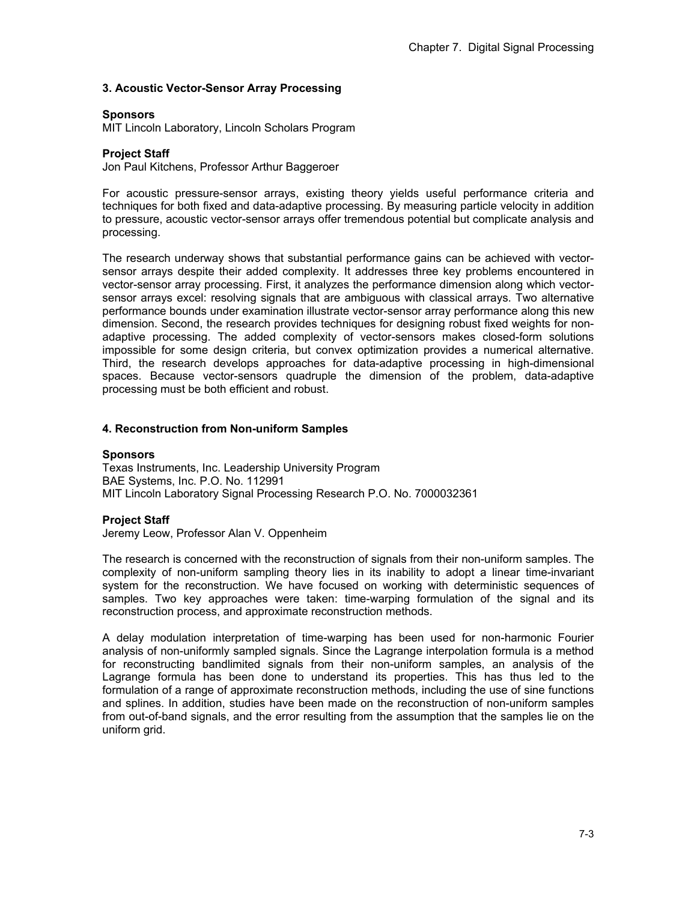### **3. Acoustic Vector-Sensor Array Processing**

### **Sponsors**

MIT Lincoln Laboratory, Lincoln Scholars Program

### **Project Staff**

Jon Paul Kitchens, Professor Arthur Baggeroer

For acoustic pressure-sensor arrays, existing theory yields useful performance criteria and techniques for both fixed and data-adaptive processing. By measuring particle velocity in addition to pressure, acoustic vector-sensor arrays offer tremendous potential but complicate analysis and processing.

The research underway shows that substantial performance gains can be achieved with vectorsensor arrays despite their added complexity. It addresses three key problems encountered in vector-sensor array processing. First, it analyzes the performance dimension along which vectorsensor arrays excel: resolving signals that are ambiguous with classical arrays. Two alternative performance bounds under examination illustrate vector-sensor array performance along this new dimension. Second, the research provides techniques for designing robust fixed weights for nonadaptive processing. The added complexity of vector-sensors makes closed-form solutions impossible for some design criteria, but convex optimization provides a numerical alternative. Third, the research develops approaches for data-adaptive processing in high-dimensional spaces. Because vector-sensors quadruple the dimension of the problem, data-adaptive processing must be both efficient and robust.

#### **4. Reconstruction from Non-uniform Samples**

#### **Sponsors**

Texas Instruments, Inc. Leadership University Program BAE Systems, Inc. P.O. No. 112991 MIT Lincoln Laboratory Signal Processing Research P.O. No. 7000032361

### **Project Staff**

Jeremy Leow, Professor Alan V. Oppenheim

The research is concerned with the reconstruction of signals from their non-uniform samples. The complexity of non-uniform sampling theory lies in its inability to adopt a linear time-invariant system for the reconstruction. We have focused on working with deterministic sequences of samples. Two key approaches were taken: time-warping formulation of the signal and its reconstruction process, and approximate reconstruction methods.

A delay modulation interpretation of time-warping has been used for non-harmonic Fourier analysis of non-uniformly sampled signals. Since the Lagrange interpolation formula is a method for reconstructing bandlimited signals from their non-uniform samples, an analysis of the Lagrange formula has been done to understand its properties. This has thus led to the formulation of a range of approximate reconstruction methods, including the use of sine functions and splines. In addition, studies have been made on the reconstruction of non-uniform samples from out-of-band signals, and the error resulting from the assumption that the samples lie on the uniform grid.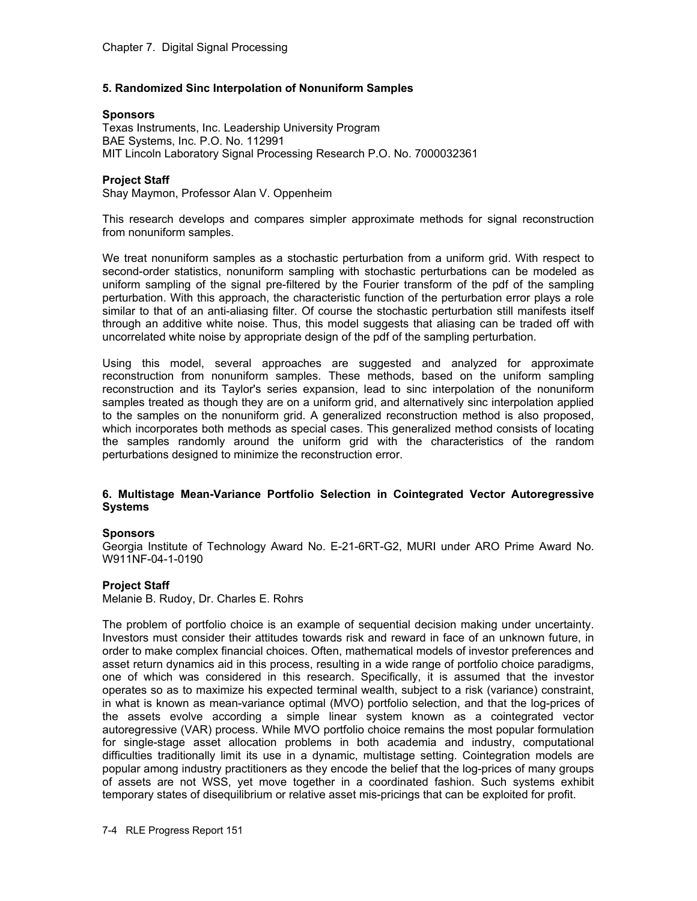# **5. Randomized Sinc Interpolation of Nonuniform Samples**

### **Sponsors**

Texas Instruments, Inc. Leadership University Program BAE Systems, Inc. P.O. No. 112991 MIT Lincoln Laboratory Signal Processing Research P.O. No. 7000032361

### **Project Staff**

Shay Maymon, Professor Alan V. Oppenheim

This research develops and compares simpler approximate methods for signal reconstruction from nonuniform samples.

We treat nonuniform samples as a stochastic perturbation from a uniform grid. With respect to second-order statistics, nonuniform sampling with stochastic perturbations can be modeled as uniform sampling of the signal pre-filtered by the Fourier transform of the pdf of the sampling perturbation. With this approach, the characteristic function of the perturbation error plays a role similar to that of an anti-aliasing filter. Of course the stochastic perturbation still manifests itself through an additive white noise. Thus, this model suggests that aliasing can be traded off with uncorrelated white noise by appropriate design of the pdf of the sampling perturbation.

Using this model, several approaches are suggested and analyzed for approximate reconstruction from nonuniform samples. These methods, based on the uniform sampling reconstruction and its Taylor's series expansion, lead to sinc interpolation of the nonuniform samples treated as though they are on a uniform grid, and alternatively sinc interpolation applied to the samples on the nonuniform grid. A generalized reconstruction method is also proposed, which incorporates both methods as special cases. This generalized method consists of locating the samples randomly around the uniform grid with the characteristics of the random perturbations designed to minimize the reconstruction error.

### **6. Multistage Mean-Variance Portfolio Selection in Cointegrated Vector Autoregressive Systems**

### **Sponsors**

Georgia Institute of Technology Award No. E-21-6RT-G2, MURI under ARO Prime Award No. W911NF-04-1-0190

### **Project Staff**

Melanie B. Rudoy, Dr. Charles E. Rohrs

The problem of portfolio choice is an example of sequential decision making under uncertainty. Investors must consider their attitudes towards risk and reward in face of an unknown future, in order to make complex financial choices. Often, mathematical models of investor preferences and asset return dynamics aid in this process, resulting in a wide range of portfolio choice paradigms, one of which was considered in this research. Specifically, it is assumed that the investor operates so as to maximize his expected terminal wealth, subject to a risk (variance) constraint, in what is known as mean-variance optimal (MVO) portfolio selection, and that the log-prices of the assets evolve according a simple linear system known as a cointegrated vector autoregressive (VAR) process. While MVO portfolio choice remains the most popular formulation for single-stage asset allocation problems in both academia and industry, computational difficulties traditionally limit its use in a dynamic, multistage setting. Cointegration models are popular among industry practitioners as they encode the belief that the log-prices of many groups of assets are not WSS, yet move together in a coordinated fashion. Such systems exhibit temporary states of disequilibrium or relative asset mis-pricings that can be exploited for profit.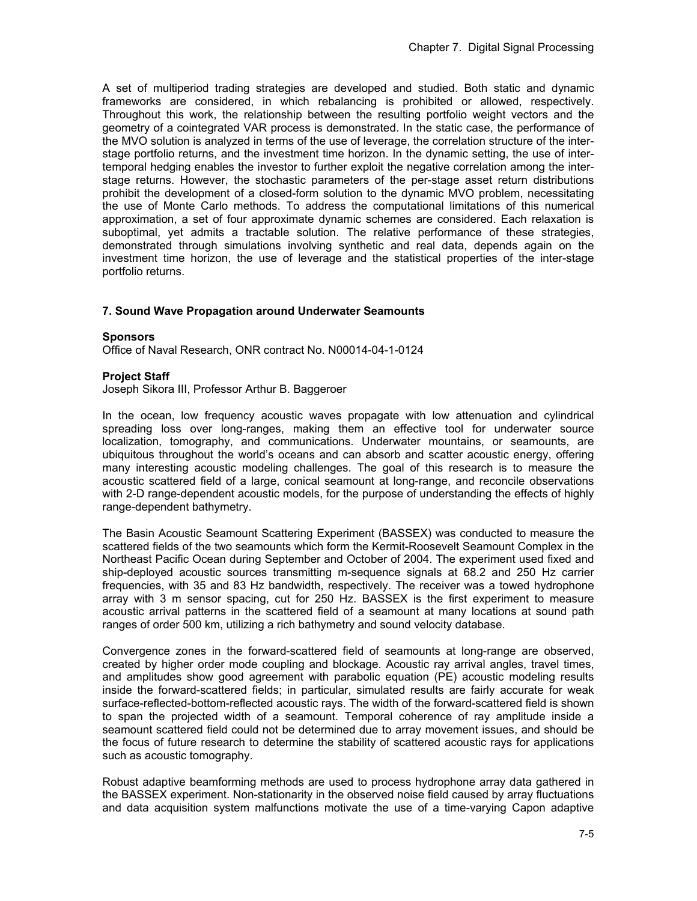A set of multiperiod trading strategies are developed and studied. Both static and dynamic frameworks are considered, in which rebalancing is prohibited or allowed, respectively. Throughout this work, the relationship between the resulting portfolio weight vectors and the geometry of a cointegrated VAR process is demonstrated. In the static case, the performance of the MVO solution is analyzed in terms of the use of leverage, the correlation structure of the interstage portfolio returns, and the investment time horizon. In the dynamic setting, the use of intertemporal hedging enables the investor to further exploit the negative correlation among the interstage returns. However, the stochastic parameters of the per-stage asset return distributions prohibit the development of a closed-form solution to the dynamic MVO problem, necessitating the use of Monte Carlo methods. To address the computational limitations of this numerical approximation, a set of four approximate dynamic schemes are considered. Each relaxation is suboptimal, yet admits a tractable solution. The relative performance of these strategies, demonstrated through simulations involving synthetic and real data, depends again on the investment time horizon, the use of leverage and the statistical properties of the inter-stage portfolio returns.

### **7. Sound Wave Propagation around Underwater Seamounts**

#### **Sponsors**

Office of Naval Research, ONR contract No. N00014-04-1-0124

#### **Project Staff**

Joseph Sikora III, Professor Arthur B. Baggeroer

In the ocean, low frequency acoustic waves propagate with low attenuation and cylindrical spreading loss over long-ranges, making them an effective tool for underwater source localization, tomography, and communications. Underwater mountains, or seamounts, are ubiquitous throughout the world's oceans and can absorb and scatter acoustic energy, offering many interesting acoustic modeling challenges. The goal of this research is to measure the acoustic scattered field of a large, conical seamount at long-range, and reconcile observations with 2-D range-dependent acoustic models, for the purpose of understanding the effects of highly range-dependent bathymetry.

The Basin Acoustic Seamount Scattering Experiment (BASSEX) was conducted to measure the scattered fields of the two seamounts which form the Kermit-Roosevelt Seamount Complex in the Northeast Pacific Ocean during September and October of 2004. The experiment used fixed and ship-deployed acoustic sources transmitting m-sequence signals at 68.2 and 250 Hz carrier frequencies, with 35 and 83 Hz bandwidth, respectively. The receiver was a towed hydrophone array with 3 m sensor spacing, cut for 250 Hz. BASSEX is the first experiment to measure acoustic arrival patterns in the scattered field of a seamount at many locations at sound path ranges of order 500 km, utilizing a rich bathymetry and sound velocity database.

Convergence zones in the forward-scattered field of seamounts at long-range are observed, created by higher order mode coupling and blockage. Acoustic ray arrival angles, travel times, and amplitudes show good agreement with parabolic equation (PE) acoustic modeling results inside the forward-scattered fields; in particular, simulated results are fairly accurate for weak surface-reflected-bottom-reflected acoustic rays. The width of the forward-scattered field is shown to span the projected width of a seamount. Temporal coherence of ray amplitude inside a seamount scattered field could not be determined due to array movement issues, and should be the focus of future research to determine the stability of scattered acoustic rays for applications such as acoustic tomography.

Robust adaptive beamforming methods are used to process hydrophone array data gathered in the BASSEX experiment. Non-stationarity in the observed noise field caused by array fluctuations and data acquisition system malfunctions motivate the use of a time-varying Capon adaptive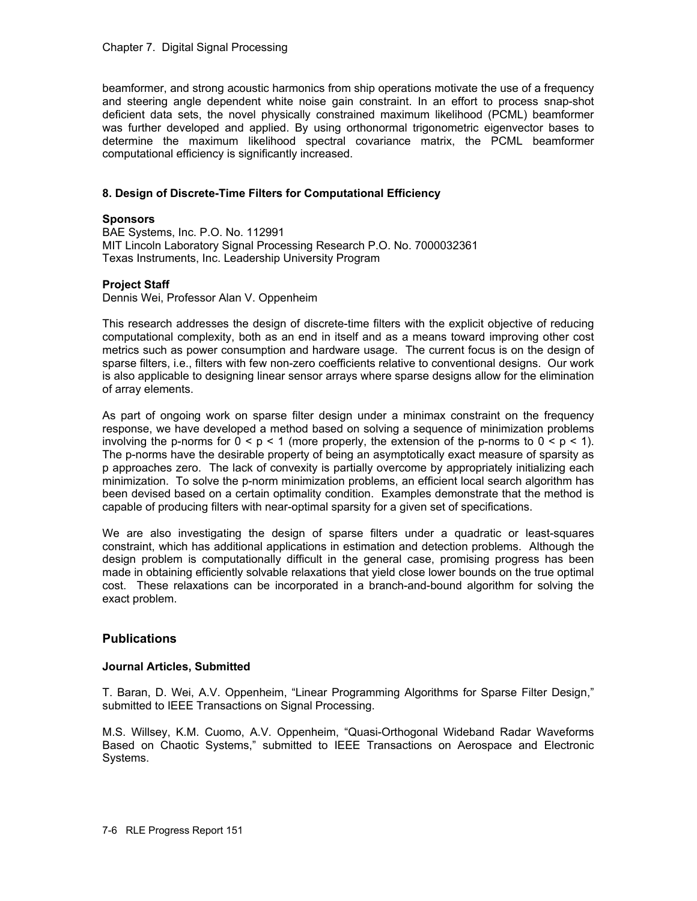### Chapter 7. Digital Signal Processing

beamformer, and strong acoustic harmonics from ship operations motivate the use of a frequency and steering angle dependent white noise gain constraint. In an effort to process snap-shot deficient data sets, the novel physically constrained maximum likelihood (PCML) beamformer was further developed and applied. By using orthonormal trigonometric eigenvector bases to determine the maximum likelihood spectral covariance matrix, the PCML beamformer computational efficiency is significantly increased.

### **8. Design of Discrete-Time Filters for Computational Efficiency**

### **Sponsors**

BAE Systems, Inc. P.O. No. 112991 MIT Lincoln Laboratory Signal Processing Research P.O. No. 7000032361 Texas Instruments, Inc. Leadership University Program

### **Project Staff**

Dennis Wei, Professor Alan V. Oppenheim

This research addresses the design of discrete-time filters with the explicit objective of reducing computational complexity, both as an end in itself and as a means toward improving other cost metrics such as power consumption and hardware usage. The current focus is on the design of sparse filters, i.e., filters with few non-zero coefficients relative to conventional designs. Our work is also applicable to designing linear sensor arrays where sparse designs allow for the elimination of array elements.

As part of ongoing work on sparse filter design under a minimax constraint on the frequency response, we have developed a method based on solving a sequence of minimization problems involving the p-norms for  $0 \le p \le 1$  (more properly, the extension of the p-norms to  $0 \le p \le 1$ ). The p-norms have the desirable property of being an asymptotically exact measure of sparsity as p approaches zero. The lack of convexity is partially overcome by appropriately initializing each minimization. To solve the p-norm minimization problems, an efficient local search algorithm has been devised based on a certain optimality condition. Examples demonstrate that the method is capable of producing filters with near-optimal sparsity for a given set of specifications.

We are also investigating the design of sparse filters under a quadratic or least-squares constraint, which has additional applications in estimation and detection problems. Although the design problem is computationally difficult in the general case, promising progress has been made in obtaining efficiently solvable relaxations that yield close lower bounds on the true optimal cost. These relaxations can be incorporated in a branch-and-bound algorithm for solving the exact problem.

### **Publications**

### **Journal Articles, Submitted**

T. Baran, D. Wei, A.V. Oppenheim, "Linear Programming Algorithms for Sparse Filter Design," submitted to IEEE Transactions on Signal Processing.

M.S. Willsey, K.M. Cuomo, A.V. Oppenheim, "Quasi-Orthogonal Wideband Radar Waveforms Based on Chaotic Systems," submitted to IEEE Transactions on Aerospace and Electronic Systems.